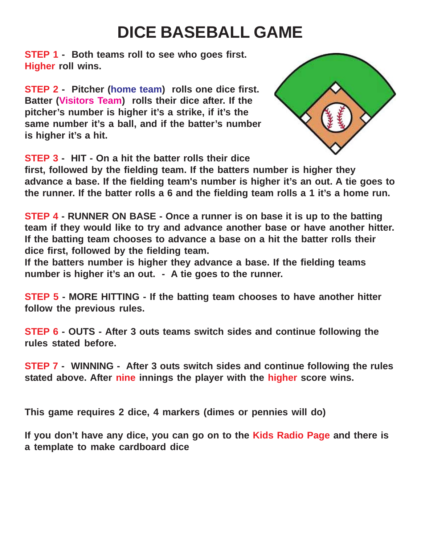## **DICE BASEBALL GAME**

**STEP 1 - Both teams roll to see who goes first. Higher roll wins.**

**STEP 2 - Pitcher (home team) rolls one dice first. Batter (Visitors Team) rolls their dice after. If the pitcher's number is higher it's a strike, if it's the same number it's a ball, and if the batter's number is higher it's a hit.**



**STEP 3 - HIT - On a hit the batter rolls their dice**

**first, followed by the fielding team. If the batters number is higher they advance a base. If the fielding team's number is higher it's an out. A tie goes to the runner. If the batter rolls a 6 and the fielding team rolls a 1 it's a home run.**

**STEP 4 - RUNNER ON BASE - Once a runner is on base it is up to the batting team if they would like to try and advance another base or have another hitter. If the batting team chooses to advance a base on a hit the batter rolls their dice first, followed by the fielding team.**

**If the batters number is higher they advance a base. If the fielding teams number is higher it's an out. - A tie goes to the runner.**

**STEP 5 - MORE HITTING - If the batting team chooses to have another hitter follow the previous rules.**

**STEP 6 - OUTS - After 3 outs teams switch sides and continue following the rules stated before.**

**STEP 7 - WINNING - After 3 outs switch sides and continue following the rules stated above. After nine innings the player with the higher score wins.**

**This game requires 2 dice, 4 markers (dimes or pennies will do)**

**If you don't have any dice, you can go on to the Kids Radio Page and there is a template to make cardboard dice**